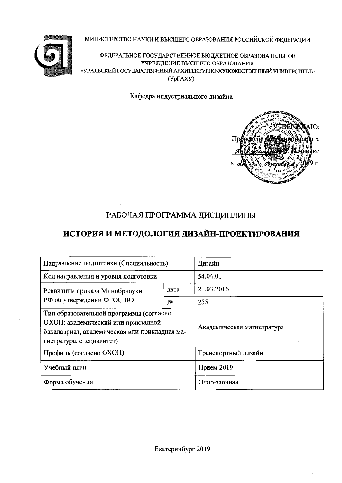#### МИНИСТЕРСТВО НАУКИ И ВЫСШЕГО ОБРАЗОВАНИЯ РОССИЙСКОЙ ФЕДЕРАЦИИ



ФЕДЕРАЛЬНОЕ ГОСУДАРСТВЕННОЕ БЮДЖЕТНОЕ ОБРАЗОВАТЕЛЬНОЕ УЧРЕЖДЕНИЕ ВЫСШЕГО ОБРАЗОВАНИЯ «УРАЛЬСКИЙ ГОСУДАРСТВЕННЫЙ АРХИТЕКТУРНО-ХУДОЖЕСТВЕННЫЙ УНИВЕРСИТЕТ»  $(Yp\Gamma A X Y)$ 

Кафедра индустриального дизайна



# РАБОЧАЯ ПРОГРАММА ДИСЦИПЛИНЫ

# ИСТОРИЯ И МЕТОДОЛОГИЯ ДИЗАЙН-ПРОЕКТИРОВАНИЯ

| Направление подготовки (Специальность)                                                                                                                     | Дизайн                     |            |  |  |
|------------------------------------------------------------------------------------------------------------------------------------------------------------|----------------------------|------------|--|--|
| Код направления и уровня подготовки                                                                                                                        | 54.04.01                   |            |  |  |
| Реквизиты приказа Минобрнауки                                                                                                                              | дата                       | 21.03.2016 |  |  |
| РФ об утверждении ФГОС ВО                                                                                                                                  | N <sub>2</sub>             | 255        |  |  |
| Тип образовательной программы (согласно<br>ОХОП: академический или прикладной<br>бакалавриат, академическая или прикладная ма-<br>гистратура, специалитет) | Академическая магистратура |            |  |  |
| Профиль (согласно ОХОП)                                                                                                                                    | Транспортный дизайн        |            |  |  |
| Учебный план                                                                                                                                               | Прием $2019$               |            |  |  |
| Форма обучения                                                                                                                                             | Очно-заочная               |            |  |  |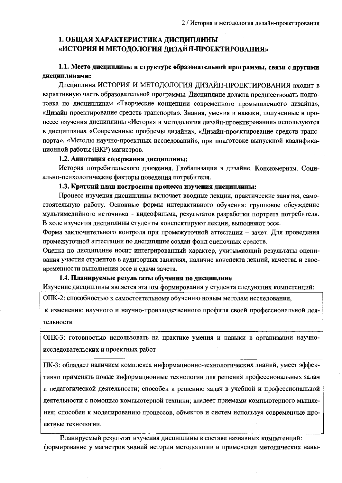# 1. ОБЩАЯ ХАРАКТЕРИСТИКА ДИСЦИПЛИНЫ «ИСТОРИЯ И МЕТОДОЛОГИЯ ДИЗАЙН-ПРОЕКТИРОВАНИЯ»

### 1.1. Место дисциплины в структуре образовательной программы, связи с другими дисциплинами:

Лисциплина ИСТОРИЯ И МЕТОЛОЛОГИЯ ЛИЗАЙН-ПРОЕКТИРОВАНИЯ входит в вариативную часть образовательной программы. Дисциплине должна предшествовать подготовка по дисциплинам «Творческие концепции современного промышленного дизайна», «Дизайн-проектирование средств транспорта». Знания, умения и навыки, полученные в процессе изучения дисциплины «История и методология дизайн-проектирования» используются в дисциплинах «Современные проблемы дизайна», «Дизайн-проектирование средств транспорта», «Методы научно-проектных исследований», при подготовке выпускной квалификационной работы (ВКР) магистров.

#### 1.2. Аннотация содержания дисциплииы:

История потребительского движения. Глобализация в дизайне. Консюмеризм. Социально-психологические факторы поведения потребителя.

#### 1.3. Краткий план построения процесса изучения дисциплины:

Процесс изучения дисциплины включает вводные лекции, практические занятия, самостоятельную работу. Основные формы интерактивного обучения: групповое обсуждение мультимедийного источника - видеофильма, результатов разработки портрета потребителя. В ходе изучения дисциплины студенты конспектируют лекции, выполняют эссе.

Форма заключительного контроля при промежуточной аттестации - зачет. Для проведения промежуточной аттестации по дисциплине создан фонд оценочных средств.

Оценка по дисциплине носит интегрированный характер, учитывающий результаты оценивания участия студентов в аудиторных занятиях, наличие конспекта лекций, качества и своевременности выполнения эссе и сдачи зачета.

#### 1.4. Планнруемые результаты обучення по дисциплине

Изучение дисциплины является этапом формирования у студента следующих компетенций:

ОПК-2: способностью к самостоятельному обучению новым методам исследования,

к изменению научного и научно-производственного профиля своей профессиональной деятельности

ОПК-3: готовностью использовать на практике умения и навыки в организации научноисследовательских и проектных работ

ПК-3: обладает наличием комплекса информационно-технологических знаний, умеет эффективно применять новые информационные технологии для решения профессиональных задач и педагогической деятельности; способен к решению задач в учебной и профессиональной деятельности с помощью компьютерной техники; владеет приемами компьютерного мышления; способен к моделированию процессов, объектов и систем используя современные проектные технологии.

Планируемый результат изучения дисциплины в составе названных компетенций: формирование у магистров знаний истории методологии и применения методических навы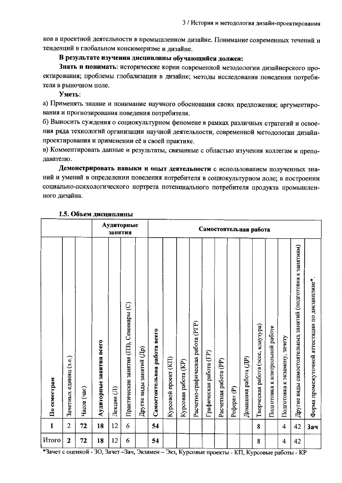ков в проектной деятельности в промышленном дизайне. Понимание современных течений и тенденций в глобальном консюмеризме и дизайне.

#### В результате изучения дисциплины обучающийся должен:

Знать и понимать: исторические корни современной методологии дизайнерского проектирования; проблемы глобализации в дизайне; методы исследования поведения потребителя в рыночном поле.

Уметь:

а) Применять знание и понимание научного обоснования своих предложения; аргументирования и прогнозирования поведения потребителя.

б) Выносить суждения о социокультурном феномене в рамках различных стратегий и освоения ряда технологий организации научной деятельности, современной методологии дизайнпроектирования и применении её в своей практике.

в) Комментировать данные и результаты, связанные с областью изучения коллегам и преподавателю.

Демоистрировать навыки и опыт деятельности с использованием полученных знаний и умений в определении поведения потребителя в социокультурном поле; в построении социально-психологического портрета потенциального потребителя продукта промышленного дизайна.

|              |                        |             |                          | занятия    | Аудиторные                              |                          | Самостоятельная работа       |                      |                      |                                   |                         |                       |                        |                      |                                    |                                 |                               |                                                             |                                                |
|--------------|------------------------|-------------|--------------------------|------------|-----------------------------------------|--------------------------|------------------------------|----------------------|----------------------|-----------------------------------|-------------------------|-----------------------|------------------------|----------------------|------------------------------------|---------------------------------|-------------------------------|-------------------------------------------------------------|------------------------------------------------|
| По семестрам | Зачетных единиц (з.е.) | Часов (час) | Аудиторные занятия всего | Лекции (Л) | Практические занятия (ПЗ), Семинары (С) | Другие виды занятий (Др) | Самостоятельная работа всего | Курсовой проект (КП) | Курсовая работа (KP) | Расчетно-графическая работа (РГР) | Графическая работа (ГР) | Расчетная работа (PP) | Pedepar <sub>(P)</sub> | Домашняя работа (ДР) | Творческая работа (эссе, клаузура) | Подготовка к контрольной работе | Подготовка к экзамену, зачету | Другие виды самостоятельных занятий (подготовка к занятиям) | Форма промежуточной аттестации по дисциплине*. |
| $\mathbf{1}$ | 2                      | 72          | 18                       | 12         | 6                                       |                          | 54                           |                      |                      |                                   |                         |                       |                        |                      | 8                                  |                                 | 4                             | 42                                                          | <b>Зач</b>                                     |
| Итого        | $\mathbf 2$            | 72          | 18                       | 12         | 6                                       |                          | 54                           |                      |                      |                                   |                         |                       |                        |                      | 8                                  |                                 | 4                             | 42                                                          |                                                |

#### 1.5. Объем дисциплины

\*Зачет с оценкой - ЗО, Зачет –Зач, Экзамен – Экз, Курсовые проекты - КП, Курсовые работы - КР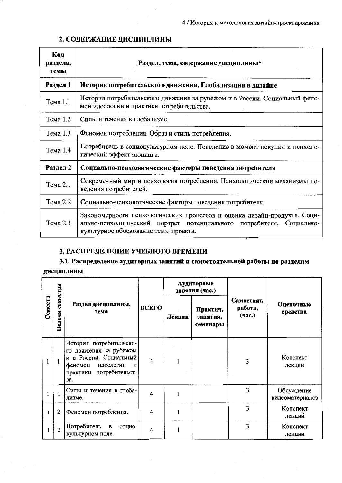| Код<br>раздела,<br>темы | Раздел, тема, содержание дисциплины*                                                                                                                                                     |  |  |  |  |  |  |  |  |
|-------------------------|------------------------------------------------------------------------------------------------------------------------------------------------------------------------------------------|--|--|--|--|--|--|--|--|
| Раздел 1                | История потребительского движения. Глобализация в дизайне                                                                                                                                |  |  |  |  |  |  |  |  |
| Тема 1.1                | История потребительского движения за рубежом и в России. Социальный фено-<br>мен идеологии и практики потребительства.                                                                   |  |  |  |  |  |  |  |  |
| Тема 1.2                | Силы и течения в глобализме.                                                                                                                                                             |  |  |  |  |  |  |  |  |
| Тема 1.3                | Феномен потребления. Образ и стиль потребления.                                                                                                                                          |  |  |  |  |  |  |  |  |
| Тема 1.4                | Потребитель в социокультурном поле. Поведение в момент покупки и психоло-<br>гический эффект шопинга.                                                                                    |  |  |  |  |  |  |  |  |
| Раздел 2                | Социально-психологическне факторы поведения потребителя                                                                                                                                  |  |  |  |  |  |  |  |  |
| Тема 2.1                | Современный мир и психология потребления. Психологические механизмы по-<br>ведения потребителей.                                                                                         |  |  |  |  |  |  |  |  |
| Тема 2.2                | Социально-психологические факторы поведения потребителя.                                                                                                                                 |  |  |  |  |  |  |  |  |
| Тема 2.3                | Закономерности психологических процессов и оценка дизайн-продукта. Соци-<br>ально-психологический портрет потенциального потребителя. Социально-<br>культурное обоснование темы проекта. |  |  |  |  |  |  |  |  |

# 2. СОДЕРЖАНИЕ ДИСЦИПЛИНЫ

# 3. РАСПРЕДЕЛЕНИЕ УЧЕБНОГО ВРЕМЕНИ

# 3.1. Распределение аудиторных занятий и самостоятельной работы по разделам

#### дисциплины

|         |                    |                                                                                                                                            |                         |        | Аудиторные<br>занятия (час.)     |                                 |                               |  |
|---------|--------------------|--------------------------------------------------------------------------------------------------------------------------------------------|-------------------------|--------|----------------------------------|---------------------------------|-------------------------------|--|
| Семестр | семестра<br>Неделя | Раздел дисциплины,<br>тема                                                                                                                 | ВСЕГО                   | Лекцин | Практич.<br>занятия,<br>семинары | Самостоят.<br>работа,<br>(час.) | Оценочные<br>средства         |  |
|         |                    | История потребительско-<br>го движения за рубежом<br>и в России. Социальный<br>феномен<br>идеологии<br>И<br>практики потребительст-<br>Ba. | $\overline{\mathbf{4}}$ |        |                                  | 3                               | Конспект<br>лекции            |  |
|         | 1                  | Силы и течения в глоба-<br>лизме.                                                                                                          | 4                       |        |                                  | 3                               | Обсуждение<br>видеоматериалов |  |
|         | $\overline{2}$     | Феномен потребления.                                                                                                                       | 4                       |        |                                  | 3                               | Конспект<br>лекций            |  |
|         | $\overline{2}$     | Потребитель<br>$\mathbf{B}$<br>социо-<br>культурном поле.                                                                                  | 4                       |        |                                  | 3                               | Конспект<br>лекции            |  |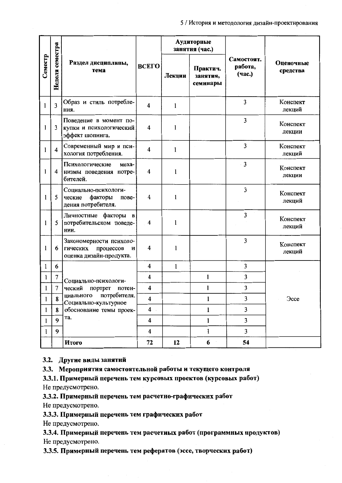|         |                         |                                                                                  |                         |              | Аудиторные<br>занятия (час.)     |                                 |                       |
|---------|-------------------------|----------------------------------------------------------------------------------|-------------------------|--------------|----------------------------------|---------------------------------|-----------------------|
| Семестр | Неделя семестра         | Раздел дисциплины,<br>тема                                                       | ВСЕГО                   | Лекции       | Практич.<br>занятия,<br>семинары | Самостоят.<br>работа,<br>(час.) | Оценочные<br>средства |
| 1       | 3                       | Образ и стиль потребле-<br>ния.                                                  | $\overline{\mathbf{4}}$ | 1            |                                  | 3                               | Конспект<br>лекций    |
| 1       | 3                       | Поведение в момент по-<br>купки и психологический<br>эффект шопинга.             | 4                       | 1            |                                  | 3                               | Конспект<br>лекции    |
| 1       | $\overline{\mathbf{4}}$ | Современный мир и пси-<br>хология потребления.                                   | $\overline{\mathbf{4}}$ | 1            |                                  | 3                               | Конспект<br>лекций    |
| 1       | 4                       | Психологические<br>меха-<br>низмы поведения потре-<br>бителей.                   | 4                       | 1            |                                  | 3                               | Конспект<br>лекции    |
| 1       | 5                       | Социально-психологи-<br>ческие<br>факторы<br>пове-<br>дения потребителя.         | 4                       | 1            |                                  | 3                               | Конспект<br>лекций    |
| 1       | 5                       | Личностные факторы<br>$\mathbf{B}$<br>потребительском поведе-<br>нии.            | $\overline{\mathbf{4}}$ | 1            |                                  | 3                               | Конспект<br>лекций    |
| 1       | 6                       | Закономерности психоло-<br>процессов<br>гических<br>И<br>оценка дизайн-продукта. | 4                       | 1            |                                  | 3                               | Конспект<br>лекций    |
| 1       | 6                       |                                                                                  | $\overline{4}$          | $\mathbf{1}$ |                                  | 3                               |                       |
| 1       | $\tau$                  | Социально-психологи-                                                             | 4                       |              | 1                                | 3                               |                       |
| 1       | $\overline{7}$          | ческий<br>портрет<br>потен-                                                      | 4                       |              | 1                                | 3                               |                       |
| 1       | 8                       | потребителя.<br>циального<br>Социально-культурное                                | $\overline{\mathbf{4}}$ |              | $\mathbf{1}$                     | 3                               | <b>Occe</b>           |
| 1       | 8                       | обоснование темы проек-                                                          | $\overline{4}$          |              | $\mathbf{1}$                     | $\overline{\mathbf{3}}$         |                       |
| 1       | 9                       | та.                                                                              | $\overline{\mathbf{4}}$ |              | $\mathbf{1}$                     | 3                               |                       |
| 1       | 9                       |                                                                                  | $\overline{\mathbf{4}}$ |              | $\mathbf{1}$                     | $\overline{\mathbf{3}}$         |                       |
|         |                         | Итого                                                                            | 72                      | 12           | 6                                | 54                              |                       |

#### 3.2. Другие виды занятий

3.3. Мероприятия самостоятельной работы и текущего контроля

3.3.1. Примерный перечень тем курсовых проектов (курсовых работ) Не предусмотрено.

3.3.2. Примерный перечень тем расчетно-графических работ

Не предусмотрено.

3.3.3. Примерный перечень тем графических работ

Не предусмотрено.

3.3.4. Примерный перечень тем расчетных работ (программных продуктов) Не предусмотрено.

3.3.5. Примерный перечень тем рефератов (эссе, творческих работ)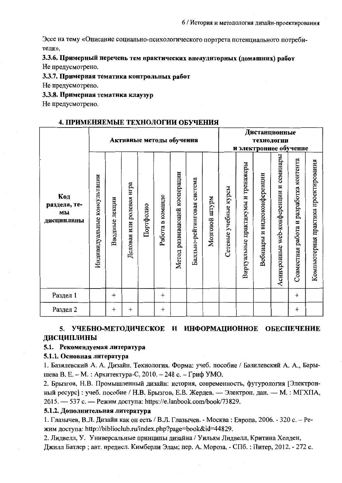Эссе на тему «Описание социально-психологического портрета потенциального потребителя».

### 3.3.6. Примерный перечень тем практических внеаудиторных (домашних) работ Не предусмотрено.

#### 3.3.7. Примерная тематика контрольных работ

Не предусмотрено.

#### 3.3.8. Примерная тематика клаузур

Не предусмотрено.

#### 4. ПРИМЕНЯЕМЫЕ ТЕХНОЛОГИИ ОБУЧЕНИЯ

|                                         |                                |                  |                          |           | Активные методы обучения | Дистанционные<br>технологии<br>и электронное обучение |                                |                       |                       |                                    |                             |                                           |                                         |                                      |
|-----------------------------------------|--------------------------------|------------------|--------------------------|-----------|--------------------------|-------------------------------------------------------|--------------------------------|-----------------------|-----------------------|------------------------------------|-----------------------------|-------------------------------------------|-----------------------------------------|--------------------------------------|
| Код<br>раздела, те-<br>МЫ<br>дисциплины | консультации<br>Индивидуальные | Вводные лекции   | Деловая или ролевая игра | Портфолио | Работа в команде         | развивающей кооперации<br>Meron                       | система<br>Балльно-рейтинговая | md<br>Alm<br>Мозговой | Сетевые учебные курсы | Виртуальные практикумы и тренажеры | Вебинары и видеоконференции | семинары<br>Асинхронные web-конференции и | Совместная работа и разработка контента | Компьютерная практика проектирования |
| Раздел 1                                |                                | $^{+}$           |                          |           | $^{+}$                   |                                                       |                                |                       |                       |                                    |                             |                                           | $^{+}$                                  |                                      |
| Раздел 2                                |                                | $\boldsymbol{+}$ | $\overline{+}$           |           | $\overline{+}$           |                                                       |                                |                       |                       |                                    |                             |                                           | $\mathrm{+}$                            |                                      |

#### УЧЕБНО-МЕТОДИЧЕСКОЕ И ИНФОРМАЦИОННОЕ ОБЕСПЕЧЕНИЕ 5. ДИСЦИПЛИНЫ

#### 5.1. Рекомендуемая литература

#### 5.1.1. Основная литература

1. Базилевский А. А. Дизайн. Технология. Форма: учеб. пособие / Базилевский А. А., Барышева В. Е. – М. : Архитектура-С, 2010. – 248 с. – Гриф УМО.

2. Брызгов, Н.В. Промышленный дизайн: история, современность, футурология [Электронный ресурс] : учеб. пособие / Н.В. Брызгов, Е.В. Жердев. — Электрон. дан. — М. : МГХПА, 2015. — 537 с. — Режим доступа: https://e.lanbook.com/book/73829.

#### 5.1.2. Дополнительная литература

1. Глазычев, В.Л. Дизайн как он есть / В.Л. Глазычев. - Москва: Европа, 2006. - 320 с. - Режим доступа: http://biblioclub.ru/index.php?page=book&id=44829.

2. Лидвелл, У. Универсальные принципы дизайна / Уильям Лидвелл, Критина Холден, Джилл Батлер; авт. предисл. Кимберли Элам; пер. А. Мороза. - СПб. : Питер, 2012. - 272 с.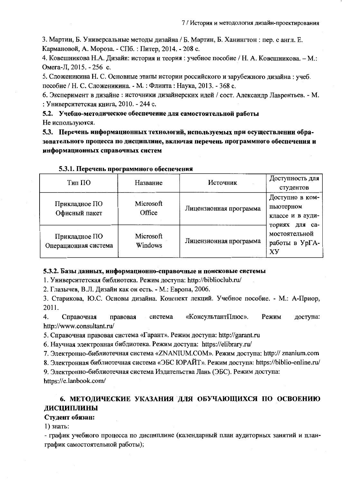3. Мартин, Б. Универсальные методы дизайна / Б. Мартин, Б. Ханингтон: пер. с англ. Е. Кармановой, А. Мороза. - СПб. : Питер, 2014. - 208 с.

4. Ковешникова Н.А. Дизайн: история и теория: учебное пособие / Н. А. Ковешникова. – М.: Омега-Л, 2015. - 256 с.

5. Сложеникина Н. С. Основные этапы истории российского и зарубежного дизайна : учеб. пособие / Н. С. Сложеникина. - М. : Флинта : Наука, 2013. - 368 с.

6. Эксперимент в дизайне: источники дизайнерских идей / сост. Александр Лаврентьев. - М. : Университетская книга, 2010. - 244 с.

5.2. Учебно-методическое обеспечение для самостоятельной работы Не используются.

5.3. Перечень информационных технологий, используемых при осуществлении образовательного процесса по дисциплине, включая перечень программного обеспечения и информационных справочных снетем

| Тип ПО                                | Название             | Источник               | Доступность для<br>студентов                            |  |
|---------------------------------------|----------------------|------------------------|---------------------------------------------------------|--|
| Прикладное ПО<br>Офисный пакет        | Microsoft<br>Office  | Лицензионная программа | Доступно в ком-<br>пьютерном<br>классе и в ауди-        |  |
| Прикладное ПО<br>Операционная система | Microsoft<br>Windows | Лицензионная программа | ториях для са-<br>мостоятельной<br>работы в УрГА-<br>XУ |  |

5.3.1. Перечень программного обеспечения

#### 5.3.2. Базы данных, информационно-справочные и понсковые системы

1. Университетская библиотека. Режим доступа: http://biblioclub.ru/

2. Глазычев, В.Л. Дизайн как он есть. - М.: Европа, 2006.

3. Старикова, Ю.С. Основы дизайна. Конспект лекций. Учебное пособие. - М.: А-Приор, 2011.

 $4.$ Справочная правовая «КонсультантПлюс». Режим доступа: система http://www.consultant.ru/

5. Справочная правовая система «Гарант». Режим доступа: http://garant.ru

6. Научная электронная библиотека. Режим доступа: https://elibrary.ru/

7. Электронно-библиотечная система «ZNANIUM.COM». Режим доступа: http:// znanium.com

8. Электронная библиотечная система «ЭБС ЮРАЙТ». Режим доступа: https://biblio-online.ru/

9. Электронно-библиотечная система Издательства Лань (ЭБС). Режим доступа: https://e.lanbook.com/

# 6. МЕТОДИЧЕСКИЕ УКАЗАНИЯ ДЛЯ ОБУЧАЮЩИХСЯ ПО ОСВОЕНИЮ ДИСЦИПЛИНЫ

### Студент обязан:

 $1)$  знать:

- график учебного процесса по дисциплине (календарный план аудиторных занятий и планграфик самостоятельной работы);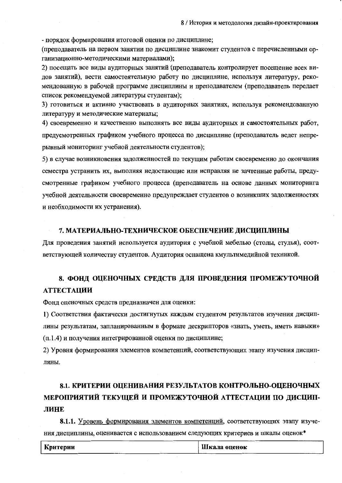- порядок формирования итоговой оценки по дисциплине;

(преподаватель на первом занятии по дисциплине знакомит студентов с перечисленными организационно-методическими материалами);

2) посещать все виды аудиторных занятий (преподаватель контролирует посещение всех видов занятий), вести самостоятельную работу по дисциплине, используя литературу, рекомендованную в рабочей программе дисциплины и преподавателем (преподаватель передает список рекомендуемой литературы студентам);

3) готовиться и активно участвовать в аудиторных занятиях, используя рекомендованную литературу и методические материалы;

4) своевременно и качественно выполнять все виды аудиторных и самостоятельных работ, предусмотренных графиком учебного процесса по дисциплине (преподаватель ведет непрерывный мониторинг учебной деятельности студентов);

5) в случае возникновения задолженностей по текущим работам своевременно до окончания семестра устранить их, выполняя недостающие или исправляя не зачтенные работы, предусмотренные графиком учебного процесса (преподаватель на основе данных мониторинга учебной деятельности своевременно предупреждает студентов о возникших задолженностях и необходимости их устранения).

#### 7. МАТЕРИАЛЬНО-ТЕХНИЧЕСКОЕ ОБЕСПЕЧЕНИЕ ДИСЦИПЛИНЫ

Для проведения занятий используется аудитория с учебной мебелью (столы, стулья), соответствующей количеству студентов. Аудитория оснащена кмультимедийной техникой.

# 8. ФОНД ОЦЕНОЧНЫХ СРЕДСТВ ДЛЯ ПРОВЕДЕНИЯ ПРОМЕЖУТОЧНОЙ **АТТЕСТАЦИИ**

Фонд оценочных средств предназначен для оценки:

1) Соответствия фактически достигнутых каждым студентом результатов изучения дисциплины результатам, запланированным в формате дескрипторов «знать, уметь, иметь навыки» (п.1.4) и получения интегрированной оценки по дисциплине;

2) Уровня формирования элементов компетенций, соответствующих этапу изучения дисциплины.

# 8.1. КРИТЕРИИ ОЦЕНИВАНИЯ РЕЗУЛЬТАТОВ КОНТРОЛЬНО-ОЦЕНОЧНЫХ МЕРОПРИЯТИЙ ТЕКУЩЕЙ И ПРОМЕЖУТОЧНОЙ АТТЕСТАЦИИ ПО ДИСЦИП-ЛИНЕ

8.1.1. Уровень формирования элементов компетенций, соответствующих этапу изучения дисциплины, оценивается с использованием следующих критериев и шкалы оценок\*

| ---------- | Критерии | Шкала оценок |
|------------|----------|--------------|
|            |          |              |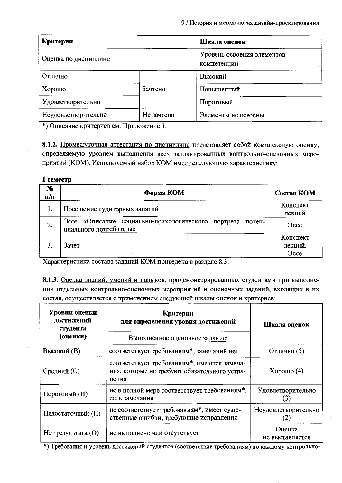| Критерии             |            | Шкала оценок                              |  |  |  |  |
|----------------------|------------|-------------------------------------------|--|--|--|--|
| Оценка по дисциплине |            | Уровень освоения элементов<br>компетенций |  |  |  |  |
| Отлично              |            | Высокий                                   |  |  |  |  |
| Хорошо               | Зачтено    | Повышенный                                |  |  |  |  |
| Удовлетворительно    |            | Пороговый                                 |  |  |  |  |
| Неудовлетворительно  | Не зачтено | Элементы не освоены                       |  |  |  |  |

\*) Описание критериев см. Приложение 1.

8.1.2. Промежуточная аттестация по дисциплине представляет собой комплексную оценку, определяемую уровнем выполнения всех запланированных контрольно-оценочных мероприятий (КОМ). Используемый набор КОМ имеет следующую характеристику:

#### 1 семестр

| $N_2$<br>$\Pi$ | Форма КОМ                                                                                 | Состав КОМ                         |
|----------------|-------------------------------------------------------------------------------------------|------------------------------------|
| 1.             | Посещение аудиторных занятий                                                              | Конспект<br>лекций                 |
| 2.             | Эссе «Описание социально-психологического<br>портрета<br>потен-<br>циального потребителя» | <b>Occe</b>                        |
|                | Зачет                                                                                     | Конспект<br>лекций.<br><b>Occe</b> |

Характеристика состава заданий КОМ приведена в разделе 8.3.

8.1.3. Оценка знаний, умений и навыков, продемонстрированных студентами при выполнении отдельных контрольно-оценочных мероприятий и оценочных заданий, входящих в их состав, осуществляется с применением следующей шкалы оценок и критериев:

| Уровии оценки<br>достижений<br>студента<br>(оценки) | Критерии<br>для определения уровия достижений<br>Выполненное оценочное задание:                      | Шкала оценок               |
|-----------------------------------------------------|------------------------------------------------------------------------------------------------------|----------------------------|
| <b>Высокий</b> (B)                                  | соответствует требованиям*, замечаний нет                                                            | Отлично (5)                |
| Средний (С)                                         | соответствует требованиям*, имеются замеча-<br>ния, которые не требуют обязательного устра-<br>нения | Хорошо $(4)$               |
| Пороговый (П)                                       | не в полной мере соответствует требованиям*,<br>есть замечания                                       | Удовлетворительно<br>(3)   |
| Недостаточный (H)                                   | не соответствует требованиям*, имеет суще-<br>ственные ошибки, требующие исправления                 | Неудовлетворительно<br>(2) |
| $H$ ет результата $(O)$                             | не выполнено или отсутствует                                                                         | Оценка<br>не выставляется  |

\*) Требования и уровень достижений студентов (соответствие требованиям) по каждому контрольно-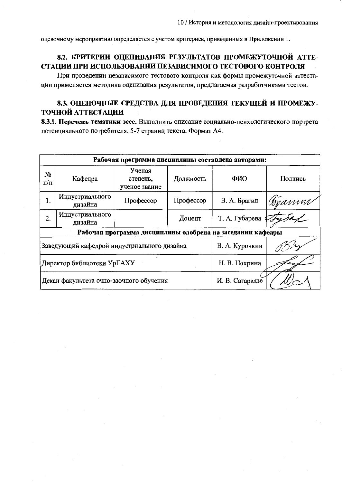оценочному мероприятию определяется с учетом критериев, приведенных в Приложении 1.

# 8.2. КРИТЕРИИ ОЦЕНИВАНИЯ РЕЗУЛЬТАТОВ ПРОМЕЖУТОЧНОЙ АТТЕ-СТАЦИИ ПРИ ИСПОЛЬЗОВАНИИ НЕЗАВИСИМОГО ТЕСТОВОГО КОНТРОЛЯ

При проведении независимого тестового контроля как формы промежуточной аттестации применяется методика оценивания результатов, предлагаемая разработчиками тестов.

# 8.3. ОЦЕНОЧНЫЕ СРЕДСТВА ДЛЯ ПРОВЕДЕНИЯ ТЕКУЩЕЙ И ПРОМЕЖУ-ТОЧНОЙ АТТЕСТАЦИИ

8.3.1. Перечень тематики эссе. Выполнить описание социально-психологического портрета потенциального потребителя. 5-7 страниц текста. Формат А4.

|                                                            | Рабочая программа дисциплины составлена авторами: |           |                 |        |  |  |  |  |  |  |
|------------------------------------------------------------|---------------------------------------------------|-----------|-----------------|--------|--|--|--|--|--|--|
| $N_2$<br>$\Pi/\Pi$                                         | Кафедра                                           | ФИО       | Подпись         |        |  |  |  |  |  |  |
| 1.                                                         | Индустриального<br>дизайна                        | Профессор | В. А. Брагин    | Apannu |  |  |  |  |  |  |
| 2.                                                         | Индустриального<br>дизайна                        |           | Т. А. Губарева  |        |  |  |  |  |  |  |
| Рабочая программа дисциплины одобрена на заседании кафедры |                                                   |           |                 |        |  |  |  |  |  |  |
|                                                            | Заведующий кафедрой индустриального дизайна       |           | В. А. Курочкин  |        |  |  |  |  |  |  |
|                                                            | Директор библиотеки УрГАХУ                        |           | Н. В. Нохрина   |        |  |  |  |  |  |  |
|                                                            | Декан факультета очно-заочного обучения           |           | И. В. Сагарадзе |        |  |  |  |  |  |  |